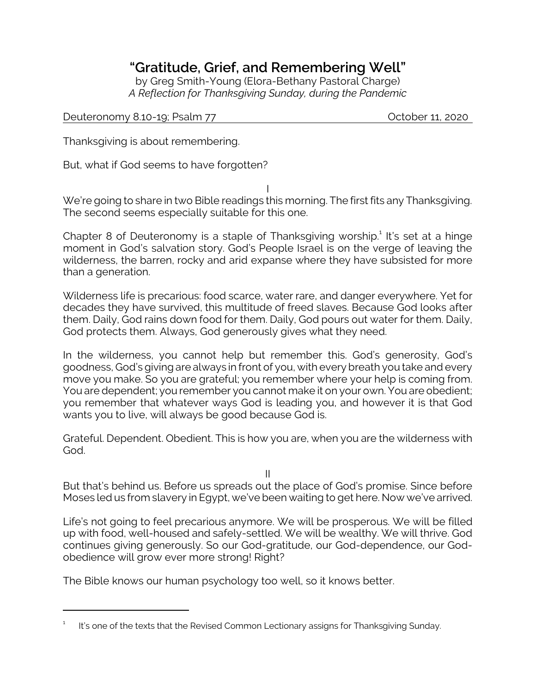## **"Gratitude, Grief, and Remembering Well"**

by Greg Smith-Young (Elora-Bethany Pastoral Charge) *A Reflection for Thanksgiving Sunday, during the Pandemic*

## Deuteronomy 8.10-19; Psalm 77 Channels Controller 11, 2020

Thanksgiving is about remembering.

But, what if God seems to have forgotten?

I

We're going to share in two Bible readings this morning. The first fits any Thanksgiving. The second seems especially suitable for this one.

Chapter 8 of Deuteronomy is a staple of Thanksgiving worship.<sup>1</sup> It's set at a hinge moment in God's salvation story. God's People Israel is on the verge of leaving the wilderness, the barren, rocky and arid expanse where they have subsisted for more than a generation.

Wilderness life is precarious: food scarce, water rare, and danger everywhere. Yet for decades they have survived, this multitude of freed slaves. Because God looks after them. Daily, God rains down food for them. Daily, God pours out water for them. Daily, God protects them. Always, God generously gives what they need.

In the wilderness, you cannot help but remember this. God's generosity, God's goodness, God's giving are always in front of you, with every breath you take and every move you make. So you are grateful; you remember where your help is coming from. You are dependent; you remember you cannot make it on your own. You are obedient; you remember that whatever ways God is leading you, and however it is that God wants you to live, will always be good because God is.

Grateful. Dependent. Obedient. This is how you are, when you are the wilderness with God.

II

But that's behind us. Before us spreads out the place of God's promise. Since before Moses led us from slavery in Egypt, we've been waiting to get here. Now we've arrived.

Life's not going to feel precarious anymore. We will be prosperous. We will be filled up with food, well-housed and safely-settled. We will be wealthy. We will thrive. God continues giving generously. So our God-gratitude, our God-dependence, our Godobedience will grow ever more strong! Right?

The Bible knows our human psychology too well, so it knows better.

<sup>1</sup> It's one of the texts that the Revised Common Lectionary assigns for Thanksgiving Sunday.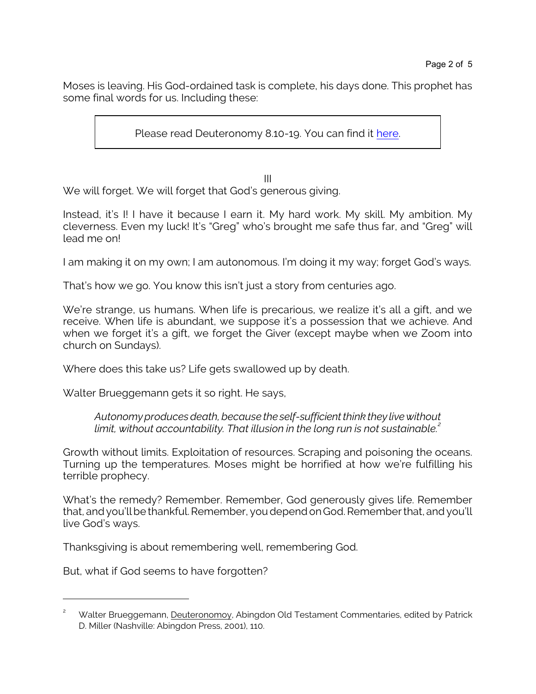Moses is leaving. His God-ordained task is complete, his days done. This prophet has some final words for us. Including these:

Please read Deuteronomy 8.10-19. You can find it [here](https://www.biblegateway.com/passage/?search=Deuteronomy+8%3A10-19&version=CEB).

III

We will forget. We will forget that God's generous giving.

Instead, it's I! I have it because I earn it. My hard work. My skill. My ambition. My cleverness. Even my luck! It's "Greg" who's brought me safe thus far, and "Greg" will lead me on!

I am making it on my own; I am autonomous. I'm doing it my way; forget God's ways.

That's how we go. You know this isn't just a story from centuries ago.

We're strange, us humans. When life is precarious, we realize it's all a gift, and we receive. When life is abundant, we suppose it's a possession that we achieve. And when we forget it's a gift, we forget the Giver (except maybe when we Zoom into church on Sundays).

Where does this take us? Life gets swallowed up by death.

Walter Brueggemann gets it so right. He says,

*Autonomy produces death, because the self-sufficient think they live without limit, without accountability. That illusion in the long run is not sustainable.<sup>2</sup>*

Growth without limits. Exploitation of resources. Scraping and poisoning the oceans. Turning up the temperatures. Moses might be horrified at how we're fulfilling his terrible prophecy.

What's the remedy? Remember. Remember, God generously gives life. Remember that, and you'll be thankful. Remember, you depend onGod. Remember that, and you'll live God's ways.

Thanksgiving is about remembering well, remembering God.

But, what if God seems to have forgotten?

<sup>&</sup>lt;sup>2</sup> Walter Brueggemann, Deuteronomoy, Abingdon Old Testament Commentaries, edited by Patrick D. Miller (Nashville: Abingdon Press, 2001), 110.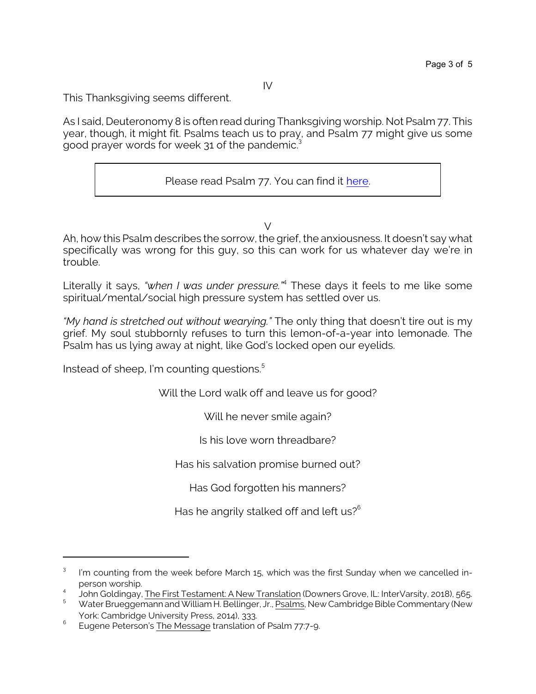This Thanksgiving seems different.

As I said, Deuteronomy 8 is often read during Thanksgiving worship. Not Psalm 77. This year, though, it might fit. Psalms teach us to pray, and Psalm 77 might give us some good prayer words for week 31 of the pandemic.<sup>3</sup>

Please read Psalm 77. You can find it [here](https://www.biblegateway.com/passage/?search=Psalm+77&version=CEB).

 $\vee$ 

Ah, how this Psalm describes the sorrow, the grief, the anxiousness. It doesn't say what specifically was wrong for this guy, so this can work for us whatever day we're in trouble.

Literally it says, *"when I was under pressure."*<sup>4</sup> These days it feels to me like some spiritual/mental/social high pressure system has settled over us.

*"My hand is stretched out without wearying."* The only thing that doesn't tire out is my grief. My soul stubbornly refuses to turn this lemon-of-a-year into lemonade. The Psalm has us lying away at night, like God's locked open our eyelids.

Instead of sheep, I'm counting questions. 5

Will the Lord walk off and leave us for good?

Will he never smile again?

Is his love worn threadbare?

Has his salvation promise burned out?

Has God forgotten his manners?

Has he angrily stalked off and left us? $6<sup>6</sup>$ 

<sup>3</sup> I'm counting from the week before March 15, which was the first Sunday when we cancelled inperson worship.

<sup>4</sup> John Goldingay, The First Testament: A New Translation (Downers Grove, IL: InterVarsity, 2018), 565.

<sup>5</sup> Water Brueggemann and William H. Bellinger, Jr., Psalms, New Cambridge Bible Commentary (New York: Cambridge University Press, 2014), 333.

<sup>6</sup> Eugene Peterson's The Message translation of Psalm 77:7-9.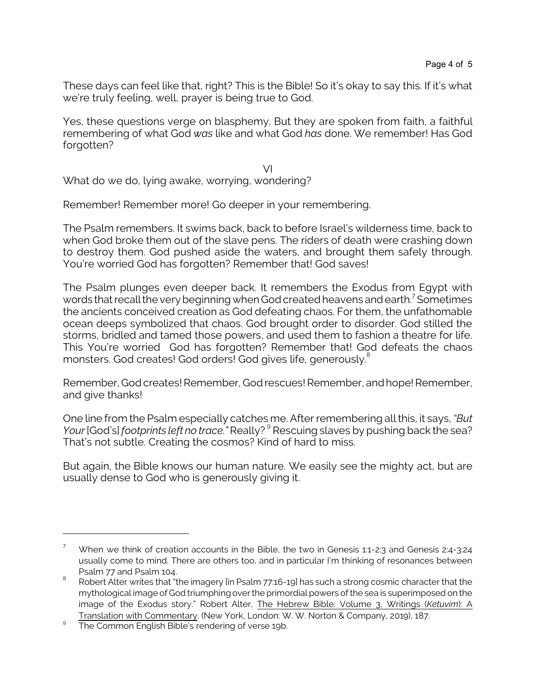These days can feel like that, right? This is the Bible! So it's okay to say this. If it's what we're truly feeling, well, prayer is being true to God.

Yes, these questions verge on blasphemy. But they are spoken from faith, a faithful remembering of what God *was* like and what God *has* done. We remember! Has God forgotten?

VI What do we do, lying awake, worrying, wondering?

Remember! Remember more! Go deeper in your remembering.

The Psalm remembers. It swims back, back to before Israel's wilderness time, back to when God broke them out of the slave pens. The riders of death were crashing down to destroy them. God pushed aside the waters, and brought them safely through. You're worried God has forgotten? Remember that! God saves!

The Psalm plunges even deeper back. It remembers the Exodus from Egypt with words that recall the very beginning when God created heavens and earth. $^7$  Sometimes the ancients conceived creation as God defeating chaos. For them, the unfathomable ocean deeps symbolized that chaos. God brought order to disorder. God stilled the storms, bridled and tamed those powers, and used them to fashion a theatre for life. This You're worried God has forgotten? Remember that! God defeats the chaos monsters. God creates! God orders! God gives life, generously.<sup>8</sup>

Remember, God creates! Remember, God rescues! Remember, and hope! Remember, and give thanks!

One line from the Psalm especially catches me. After remembering all this, it says, *"But* Your [God's] *footprints left no trace.*" Really? <sup>9</sup> Rescuing slaves by pushing back the sea? That's not subtle. Creating the cosmos? Kind of hard to miss.

But again, the Bible knows our human nature. We easily see the mighty act, but are usually dense to God who is generously giving it.

When we think of creation accounts in the Bible, the two in Genesis 1:1-2:3 and Genesis 2:4-3:24 usually come to mind. There are others too, and in particular I'm thinking of resonances between Psalm 77 and Psalm 104.

<sup>8</sup> Robert Alter writes that "the imagery [in Psalm 77:16-19] has such a strong cosmic character that the mythological image of God triumphing over the primordial powers of the sea is superimposed on the image of the Exodus story." Robert Alter, The Hebrew Bible: Volume 3, Writings (*Ketuvim*): A Translation with Commentary. (New York, London: W. W. Norton & Company, 2019), 187.

<sup>9</sup> The Common English Bible's rendering of verse 19b.